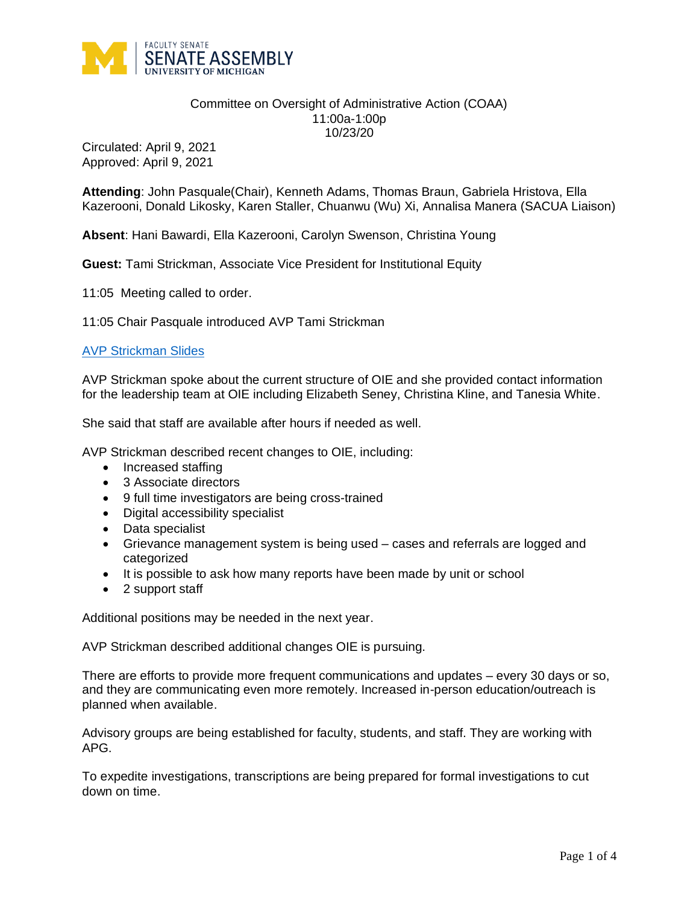

## Committee on Oversight of Administrative Action (COAA) 11:00a-1:00p 10/23/20

Circulated: April 9, 2021 Approved: April 9, 2021

**Attending**: John Pasquale(Chair), Kenneth Adams, Thomas Braun, Gabriela Hristova, Ella Kazerooni, Donald Likosky, Karen Staller, Chuanwu (Wu) Xi, Annalisa Manera (SACUA Liaison)

**Absent**: Hani Bawardi, Ella Kazerooni, Carolyn Swenson, Christina Young

**Guest:** Tami Strickman, Associate Vice President for Institutional Equity

11:05 Meeting called to order.

11:05 Chair Pasquale introduced AVP Tami Strickman

## [AVP Strickman Slides](https://facultysenate.umich.edu/wp-content/uploads/2020/11/10-23-20-Strickman-Presentation.pdf)

AVP Strickman spoke about the current structure of OIE and she provided contact information for the leadership team at OIE including Elizabeth Seney, Christina Kline, and Tanesia White.

She said that staff are available after hours if needed as well.

AVP Strickman described recent changes to OIE, including:

- Increased staffing
- 3 Associate directors
- 9 full time investigators are being cross-trained
- Digital accessibility specialist
- Data specialist
- Grievance management system is being used cases and referrals are logged and categorized
- It is possible to ask how many reports have been made by unit or school
- 2 support staff

Additional positions may be needed in the next year.

AVP Strickman described additional changes OIE is pursuing.

There are efforts to provide more frequent communications and updates – every 30 days or so, and they are communicating even more remotely. Increased in-person education/outreach is planned when available.

Advisory groups are being established for faculty, students, and staff. They are working with APG.

To expedite investigations, transcriptions are being prepared for formal investigations to cut down on time.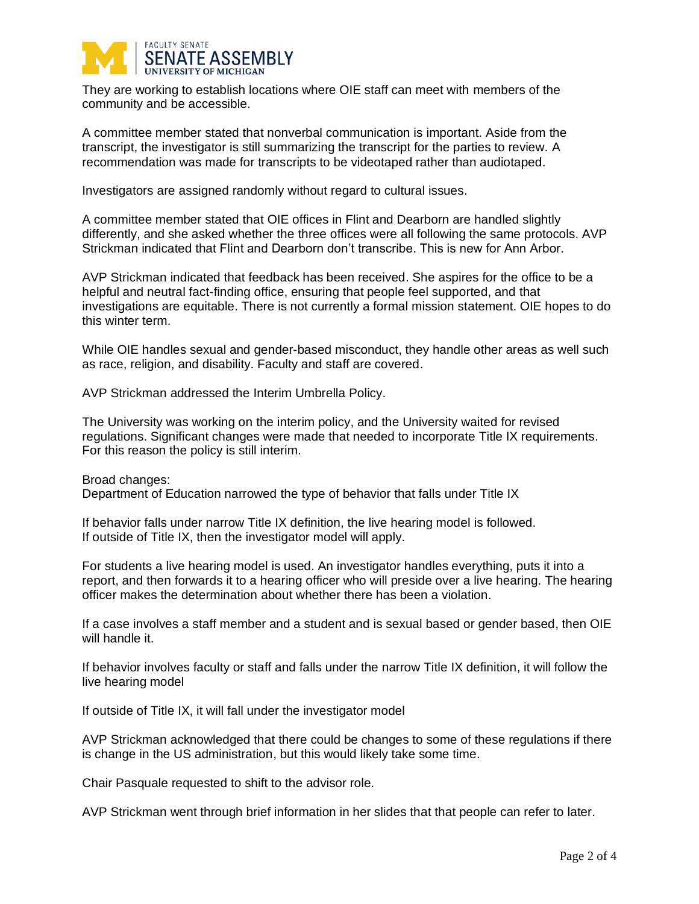

They are working to establish locations where OIE staff can meet with members of the community and be accessible.

A committee member stated that nonverbal communication is important. Aside from the transcript, the investigator is still summarizing the transcript for the parties to review. A recommendation was made for transcripts to be videotaped rather than audiotaped.

Investigators are assigned randomly without regard to cultural issues.

A committee member stated that OIE offices in Flint and Dearborn are handled slightly differently, and she asked whether the three offices were all following the same protocols. AVP Strickman indicated that Flint and Dearborn don't transcribe. This is new for Ann Arbor.

AVP Strickman indicated that feedback has been received. She aspires for the office to be a helpful and neutral fact-finding office, ensuring that people feel supported, and that investigations are equitable. There is not currently a formal mission statement. OIE hopes to do this winter term.

While OIE handles sexual and gender-based misconduct, they handle other areas as well such as race, religion, and disability. Faculty and staff are covered.

AVP Strickman addressed the Interim Umbrella Policy.

The University was working on the interim policy, and the University waited for revised regulations. Significant changes were made that needed to incorporate Title IX requirements. For this reason the policy is still interim.

Broad changes: Department of Education narrowed the type of behavior that falls under Title IX

If behavior falls under narrow Title IX definition, the live hearing model is followed. If outside of Title IX, then the investigator model will apply.

For students a live hearing model is used. An investigator handles everything, puts it into a report, and then forwards it to a hearing officer who will preside over a live hearing. The hearing officer makes the determination about whether there has been a violation.

If a case involves a staff member and a student and is sexual based or gender based, then OIE will handle it.

If behavior involves faculty or staff and falls under the narrow Title IX definition, it will follow the live hearing model

If outside of Title IX, it will fall under the investigator model

AVP Strickman acknowledged that there could be changes to some of these regulations if there is change in the US administration, but this would likely take some time.

Chair Pasquale requested to shift to the advisor role.

AVP Strickman went through brief information in her slides that that people can refer to later.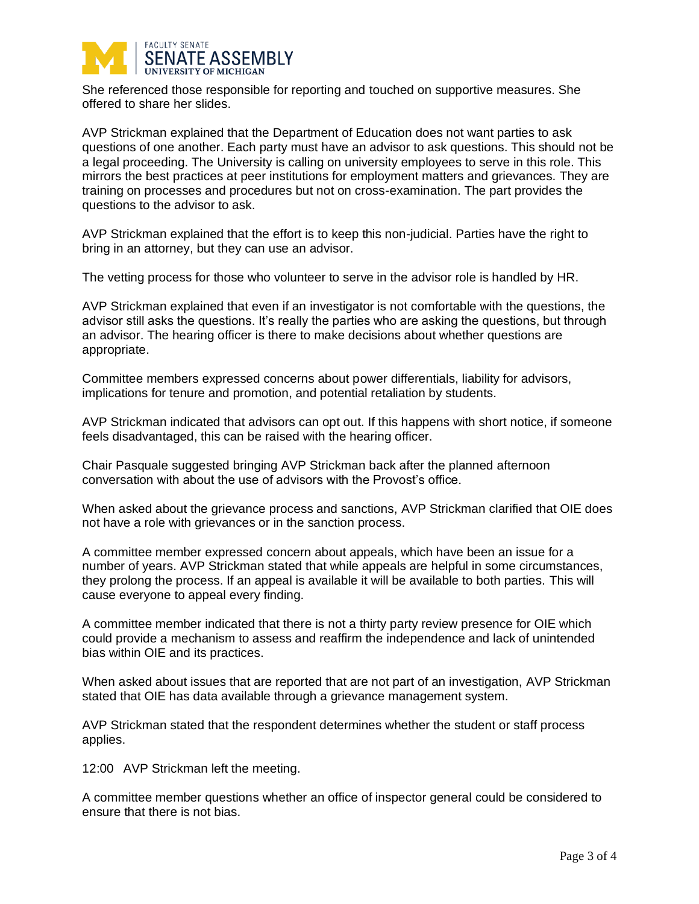

She referenced those responsible for reporting and touched on supportive measures. She offered to share her slides.

AVP Strickman explained that the Department of Education does not want parties to ask questions of one another. Each party must have an advisor to ask questions. This should not be a legal proceeding. The University is calling on university employees to serve in this role. This mirrors the best practices at peer institutions for employment matters and grievances. They are training on processes and procedures but not on cross-examination. The part provides the questions to the advisor to ask.

AVP Strickman explained that the effort is to keep this non-judicial. Parties have the right to bring in an attorney, but they can use an advisor.

The vetting process for those who volunteer to serve in the advisor role is handled by HR.

AVP Strickman explained that even if an investigator is not comfortable with the questions, the advisor still asks the questions. It's really the parties who are asking the questions, but through an advisor. The hearing officer is there to make decisions about whether questions are appropriate.

Committee members expressed concerns about power differentials, liability for advisors, implications for tenure and promotion, and potential retaliation by students.

AVP Strickman indicated that advisors can opt out. If this happens with short notice, if someone feels disadvantaged, this can be raised with the hearing officer.

Chair Pasquale suggested bringing AVP Strickman back after the planned afternoon conversation with about the use of advisors with the Provost's office.

When asked about the grievance process and sanctions, AVP Strickman clarified that OIE does not have a role with grievances or in the sanction process.

A committee member expressed concern about appeals, which have been an issue for a number of years. AVP Strickman stated that while appeals are helpful in some circumstances, they prolong the process. If an appeal is available it will be available to both parties. This will cause everyone to appeal every finding.

A committee member indicated that there is not a thirty party review presence for OIE which could provide a mechanism to assess and reaffirm the independence and lack of unintended bias within OIE and its practices.

When asked about issues that are reported that are not part of an investigation, AVP Strickman stated that OIE has data available through a grievance management system.

AVP Strickman stated that the respondent determines whether the student or staff process applies.

12:00 AVP Strickman left the meeting.

A committee member questions whether an office of inspector general could be considered to ensure that there is not bias.